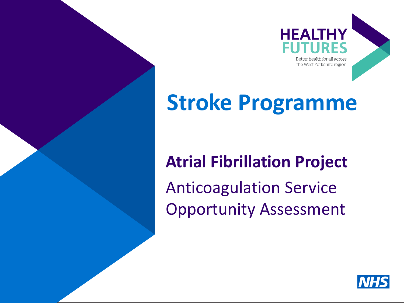

# **Stroke Programme**

### **Atrial Fibrillation Project**

Anticoagulation Service Opportunity Assessment

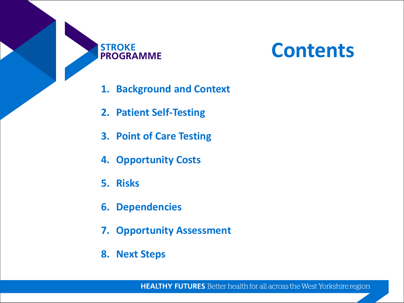

# **Contents**

- **1. Background and Context**
- **2. Patient Self-Testing**
- **3. Point of Care Testing**
- **4. Opportunity Costs**
- **5. Risks**
- **6. Dependencies**
- **7. Opportunity Assessment**
- **8. Next Steps**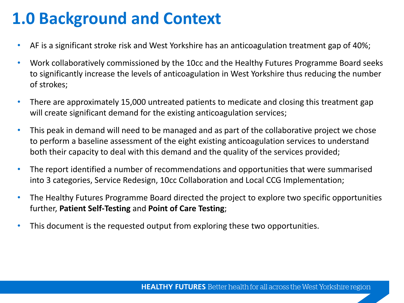### **1.0 Background and Context**

- AF is a significant stroke risk and West Yorkshire has an anticoagulation treatment gap of 40%;
- Work collaboratively commissioned by the 10cc and the Healthy Futures Programme Board seeks to significantly increase the levels of anticoagulation in West Yorkshire thus reducing the number of strokes;
- There are approximately 15,000 untreated patients to medicate and closing this treatment gap will create significant demand for the existing anticoagulation services;
- This peak in demand will need to be managed and as part of the collaborative project we chose to perform a baseline assessment of the eight existing anticoagulation services to understand both their capacity to deal with this demand and the quality of the services provided;
- The report identified a number of recommendations and opportunities that were summarised into 3 categories, Service Redesign, 10cc Collaboration and Local CCG Implementation;
- The Healthy Futures Programme Board directed the project to explore two specific opportunities further, **Patient Self-Testing** and **Point of Care Testing**;
- This document is the requested output from exploring these two opportunities.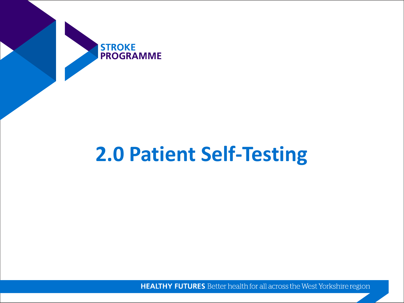

# **2.0 Patient Self-Testing**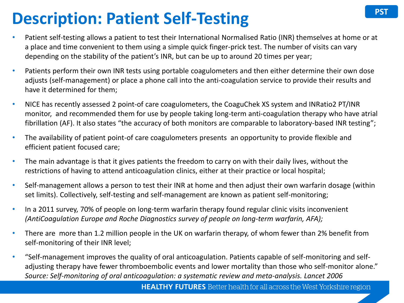### **Description: Patient Self-Testing**

- Patient self-testing allows a patient to test their International Normalised Ratio (INR) themselves at home or at a place and time convenient to them using a simple quick finger-prick test. The number of visits can vary depending on the stability of the patient's INR, but can be up to around 20 times per year;
- Patients perform their own INR tests using portable coagulometers and then either determine their own dose adjusts (self-management) or place a phone call into the anti-coagulation service to provide their results and have it determined for them;
- NICE has recently assessed 2 point-of care coagulometers, the CoaguChek XS system and INRatio2 PT/INR monitor, and recommended them for use by people taking long-term anti-coagulation therapy who have atrial fibrillation (AF). It also states "the accuracy of both monitors are comparable to laboratory-based INR testing";
- The availability of patient point-of care coagulometers presents an opportunity to provide flexible and efficient patient focused care;
- The main advantage is that it gives patients the freedom to carry on with their daily lives, without the restrictions of having to attend anticoagulation clinics, either at their practice or local hospital;
- Self-management allows a person to test their INR at home and then adjust their own warfarin dosage (within set limits). Collectively, self-testing and self-management are known as patient self-monitoring;
- In a 2011 survey, 70% of people on long-term warfarin therapy found regular clinic visits inconvenient *(AntiCoagulation Europe and Roche Diagnostics survey of people on long-term warfarin, AFA);*
- There are more than 1.2 million people in the UK on warfarin therapy, of whom fewer than 2% benefit from self-monitoring of their INR level;
- "Self-management improves the quality of oral anticoagulation. Patients capable of self-monitoring and selfadjusting therapy have fewer thromboembolic events and lower mortality than those who self-monitor alone." *Source: Self-monitoring of oral anticoagulation: a systematic review and meta-analysis. Lancet 2006*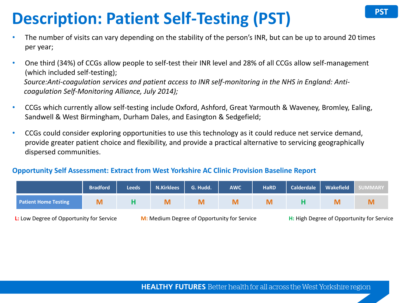### **PST PST PST PST PST PST PST**

- The number of visits can vary depending on the stability of the person's INR, but can be up to around 20 times per year;
- One third (34%) of CCGs allow people to self-test their INR level and 28% of all CCGs allow self-management (which included self-testing); *Source:Anti-coagulation services and patient access to INR self-monitoring in the NHS in England: Anticoagulation Self-Monitoring Alliance, July 2014);*
- CCGs which currently allow self-testing include Oxford, Ashford, Great Yarmouth & Waveney, Bromley, Ealing, Sandwell & West Birmingham, Durham Dales, and Easington & Sedgefield;
- CCGs could consider exploring opportunities to use this technology as it could reduce net service demand, provide greater patient choice and flexibility, and provide a practical alternative to servicing geographically dispersed communities.

### **Opportunity Self Assessment: Extract from West Yorkshire AC Clinic Provision Baseline Report**

|                             | <b>Bradford</b> | <b>Leeds</b> | <b>N.Kirklees</b> | G. Hudd. | <b>AWC</b> | <b>HaRD</b> | <b>Calderdale</b> | Wakefield |  |
|-----------------------------|-----------------|--------------|-------------------|----------|------------|-------------|-------------------|-----------|--|
| <b>Patient Home Testing</b> |                 |              |                   |          |            |             |                   |           |  |

**L:** Low Degree of Opportunity for Service **M:** Medium Degree of Opportunity for Service **H:** High Degree of Opportunity for Service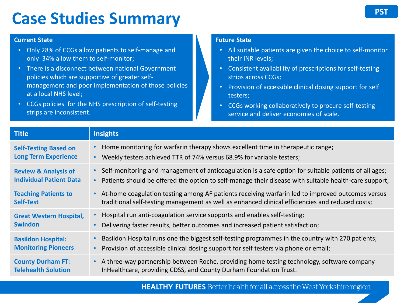### **Case Studies Summary**

#### **Current State**

- Only 28% of CCGs allow patients to self-manage and only 34% allow them to self-monitor;
- There is a disconnect between national Government policies which are supportive of greater selfmanagement and poor implementation of those policies at a local NHS level;
- CCGs policies for the NHS prescription of self-testing strips are inconsistent.

#### **Future State**

- All suitable patients are given the choice to self-monitor their INR levels;
- Consistent availability of prescriptions for self-testing strips across CCGs;
- Provision of accessible clinical dosing support for self testers;
- CCGs working collaboratively to procure self-testing service and deliver economies of scale.

| <b>Title</b>                                                | <b>Insights</b>                                                                                                                                                         |
|-------------------------------------------------------------|-------------------------------------------------------------------------------------------------------------------------------------------------------------------------|
| <b>Self-Testing Based on</b><br><b>Long Term Experience</b> | • Home monitoring for warfarin therapy shows excellent time in therapeutic range;<br>Weekly testers achieved TTR of 74% versus 68.9% for variable testers;<br>$\bullet$ |
| <b>Review &amp; Analysis of</b>                             | • Self-monitoring and management of anticoagulation is a safe option for suitable patients of all ages;                                                                 |
| <b>Individual Patient Data</b>                              | Patients should be offered the option to self-manage their disease with suitable health-care support;                                                                   |
| <b>Teaching Patients to</b>                                 | At-home coagulation testing among AF patients receiving warfarin led to improved outcomes versus                                                                        |
| <b>Self-Test</b>                                            | traditional self-testing management as well as enhanced clinical efficiencies and reduced costs;                                                                        |
| <b>Great Western Hospital,</b>                              | Hospital run anti-coagulation service supports and enables self-testing;                                                                                                |
| <b>Swindon</b>                                              | Delivering faster results, better outcomes and increased patient satisfaction;                                                                                          |
| <b>Basildon Hospital:</b>                                   | Basildon Hospital runs one the biggest self-testing programmes in the country with 270 patients;                                                                        |
| <b>Monitoring Pioneers</b>                                  | Provision of accessible clinical dosing support for self testers via phone or email;                                                                                    |
| <b>County Durham FT:</b>                                    | A three-way partnership between Roche, providing home testing technology, software company                                                                              |
| <b>Telehealth Solution</b>                                  | In Healthcare, providing CDSS, and County Durham Foundation Trust.                                                                                                      |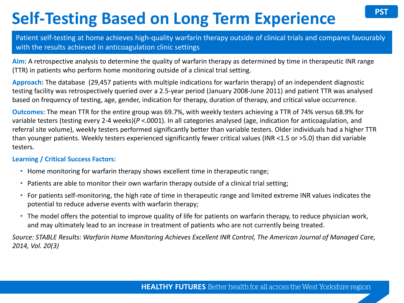## **Self-Testing Based on Long Term Experience**

Patient self-testing at home achieves high-quality warfarin therapy outside of clinical trials and compares favourably with the results achieved in anticoagulation clinic settings

**Aim:** A retrospective analysis to determine the quality of warfarin therapy as determined by time in therapeutic INR range (TTR) in patients who perform home monitoring outside of a clinical trial setting.

**Approach:** The database (29,457 patients with multiple indications for warfarin therapy) of an independent diagnostic testing facility was retrospectively queried over a 2.5-year period (January 2008-June 2011) and patient TTR was analysed based on frequency of testing, age, gender, indication for therapy, duration of therapy, and critical value occurrence.

**Outcomes:** The mean TTR for the entire group was 69.7%, with weekly testers achieving a TTR of 74% versus 68.9% for variable testers (testing every 2-4 weeks)(*P* <.0001). In all categories analysed (age, indication for anticoagulation, and referral site volume), weekly testers performed significantly better than variable testers. Older individuals had a higher TTR than younger patients. Weekly testers experienced significantly fewer critical values (INR <1.5 or >5.0) than did variable testers*.*

### **Learning / Critical Success Factors:**

- Home monitoring for warfarin therapy shows excellent time in therapeutic range;
- Patients are able to monitor their own warfarin therapy outside of a clinical trial setting;
- For patients self-monitoring, the high rate of time in therapeutic range and limited extreme INR values indicates the potential to reduce adverse events with warfarin therapy;
- The model offers the potential to improve quality of life for patients on warfarin therapy, to reduce physician work, and may ultimately lead to an increase in treatment of patients who are not currently being treated.

*Source: STABLE Results: Warfarin Home Monitoring Achieves Excellent INR Control, The American Journal of Managed Care, 2014, Vol. 20(3)*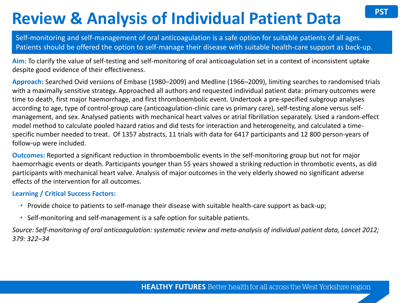## **Review & Analysis of Individual Patient Data**

Self-monitoring and self-management of oral anticoagulation is a safe option for suitable patients of all ages. Patients should be offered the option to self-manage their disease with suitable health-care support as back-up.

**Aim**: To clarify the value of self-testing and self-monitoring of oral anticoagulation set in a context of inconsistent uptake despite good evidence of their effectiveness.

**Approach:** Searched Ovid versions of Embase (1980–2009) and Medline (1966–2009), limiting searches to randomised trials with a maximally sensitive strategy. Approached all authors and requested individual patient data: primary outcomes were time to death, first major haemorrhage, and first thromboembolic event. Undertook a pre-specified subgroup analyses according to age, type of control-group care (anticoagulation-clinic care vs primary care), self-testing alone versus selfmanagement, and sex. Analysed patients with mechanical heart valves or atrial fibrillation separately. Used a random-effect model method to calculate pooled hazard ratios and did tests for interaction and heterogeneity, and calculated a timespecific number needed to treat. Of 1357 abstracts, 11 trials with data for 6417 participants and 12 800 person-years of follow-up were included.

**Outcomes:** Reported a significant reduction in thromboembolic events in the self-monitoring group but not for major haemorrhagic events or death. Participants younger than 55 years showed a striking reduction in thrombotic events, as did participants with mechanical heart valve. Analysis of major outcomes in the very elderly showed no significant adverse effects of the intervention for all outcomes.

#### **Learning / Critical Success Factors:**

- Provide choice to patients to self-manage their disease with suitable health-care support as back-up;
- Self-monitoring and self-management is a safe option for suitable patients.

*Source: Self-monitoring of oral anticoagulation: systematic review and meta-analysis of individual patient data, Lancet 2012; 379: 322–34*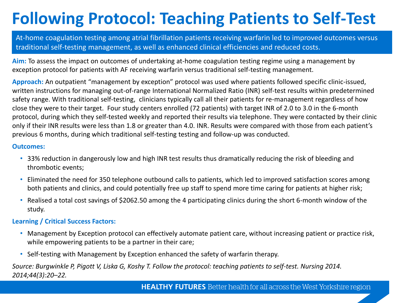## **Following Protocol: Teaching Patients to Self-Test**

At-home coagulation testing among atrial fibrillation patients receiving warfarin led to improved outcomes versus traditional self-testing management, as well as enhanced clinical efficiencies and reduced costs.

**Aim:** To assess the impact on outcomes of undertaking at-home coagulation testing regime using a management by exception protocol for patients with AF receiving warfarin versus traditional self-testing management.

**Approach:** An outpatient "management by exception" protocol was used where patients followed specific clinic-issued, written instructions for managing out-of-range International Normalized Ratio (INR) self-test results within predetermined safety range. With traditional self-testing, clinicians typically call all their patients for re-management regardless of how close they were to their target. Four study centers enrolled (72 patients) with target INR of 2.0 to 3.0 in the 6-month protocol, during which they self-tested weekly and reported their results via telephone. They were contacted by their clinic only if their INR results were less than 1.8 or greater than 4.0. INR. Results were compared with those from each patient's previous 6 months, during which traditional self-testing testing and follow-up was conducted.

#### **Outcomes:**

- 33% reduction in dangerously low and high INR test results thus dramatically reducing the risk of bleeding and thrombotic events;
- Eliminated the need for 350 telephone outbound calls to patients, which led to improved satisfaction scores among both patients and clinics, and could potentially free up staff to spend more time caring for patients at higher risk;
- Realised a total cost savings of \$2062.50 among the 4 participating clinics during the short 6-month window of the study.

### **Learning / Critical Success Factors:**

- Management by Exception protocol can effectively automate patient care, without increasing patient or practice risk, while empowering patients to be a partner in their care;
- Self-testing with Management by Exception enhanced the safety of warfarin therapy.

*Source: Burgwinkle P, Pigott V, Liska G, Koshy T. Follow the protocol: teaching patients to self-test. Nursing 2014. 2014;44(3):20–22.*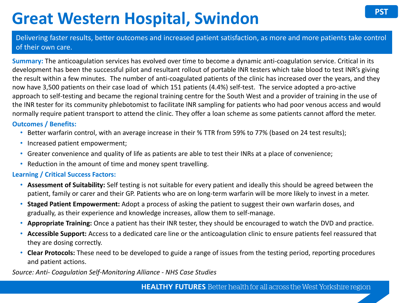### **Great Western Hospital, Swindon**

Delivering faster results, better outcomes and increased patient satisfaction, as more and more patients take control of their own care.

**Summary:** The anticoagulation services has evolved over time to become a dynamic anti-coagulation service. Critical in its development has been the successful pilot and resultant rollout of portable INR testers which take blood to test INR's giving the result within a few minutes. The number of anti-coagulated patients of the clinic has increased over the years, and they now have 3,500 patients on their case load of which 151 patients (4.4%) self-test. The service adopted a pro-active approach to self-testing and became the regional training centre for the South West and a provider of training in the use of the INR tester for its community phlebotomist to facilitate INR sampling for patients who had poor venous access and would normally require patient transport to attend the clinic. They offer a loan scheme as some patients cannot afford the meter.

#### **Outcomes / Benefits:**

- Better warfarin control, with an average increase in their % TTR from 59% to 77% (based on 24 test results);
- Increased patient empowerment;
- Greater convenience and quality of life as patients are able to test their INRs at a place of convenience;
- Reduction in the amount of time and money spent travelling.

#### **Learning / Critical Success Factors:**

- **Assessment of Suitability:** Self testing is not suitable for every patient and ideally this should be agreed between the patient, family or carer and their GP. Patients who are on long-term warfarin will be more likely to invest in a meter.
- **Staged Patient Empowerment:** Adopt a process of asking the patient to suggest their own warfarin doses, and gradually, as their experience and knowledge increases, allow them to self-manage.
- **Appropriate Training:** Once a patient has their INR tester, they should be encouraged to watch the DVD and practice.
- **Accessible Support:** Access to a dedicated care line or the anticoagulation clinic to ensure patients feel reassured that they are dosing correctly.
- **Clear Protocols:** These need to be developed to guide a range of issues from the testing period, reporting procedures and patient actions.

#### *Source: Anti- Coagulation Self-Monitoring Alliance - NHS Case Studies*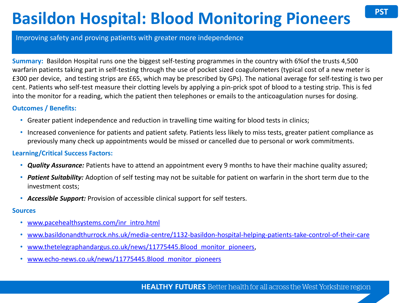## **Basildon Hospital: Blood Monitoring Pioneers**

Improving safety and proving patients with greater more independence

**Summary:** Basildon Hospital runs one the biggest self-testing programmes in the country with 6%of the trusts 4,500 warfarin patients taking part in self-testing through the use of pocket sized coagulometers (typical cost of a new meter is £300 per device, and testing strips are £65, which may be prescribed by GPs). The national average for self-testing is two per cent. Patients who self-test measure their clotting levels by applying a pin-prick spot of blood to a testing strip. This is fed into the monitor for a reading, which the patient then telephones or emails to the anticoagulation nurses for dosing.

#### **Outcomes / Benefits:**

- Greater patient independence and reduction in travelling time waiting for blood tests in clinics;
- Increased convenience for patients and patient safety. Patients less likely to miss tests, greater patient compliance as previously many check up appointments would be missed or cancelled due to personal or work commitments.

#### **Learning/Critical Success Factors:**

- *Quality Assurance:* Patients have to attend an appointment every 9 months to have their machine quality assured;
- *Patient Suitability:* Adoption of self testing may not be suitable for patient on warfarin in the short term due to the investment costs;
- *Accessible Support:* Provision of accessible clinical support for self testers.

#### **Sources**

- [www.pacehealthsystems.com/inr\\_intro.html](http://www.pacehealthsystems.com/inr_intro.html)
- [www.basildonandthurrock.nhs.uk/media-centre/1132-basildon-hospital-helping-patients-take-control-of-their-care](http://www.basildonandthurrock.nhs.uk/media-centre/1132-basildon-hospital-helping-patients-take-control-of-their-care)
- www.thetelegraphandargus.co.uk/news/11775445.Blood monitor pioneers,
- [www.echo-news.co.uk/news/11775445.Blood\\_monitor\\_pioneers](http://www.echo-news.co.uk/news/11775445.Blood_monitor_pioneers)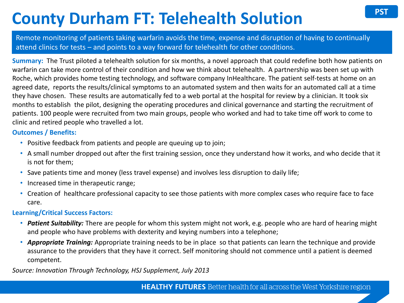## **County Durham FT: Telehealth Solution**

Remote monitoring of patients taking warfarin avoids the time, expense and disruption of having to continually attend clinics for tests – and points to a way forward for telehealth for other conditions.

**Summary:** The Trust piloted a telehealth solution for six months, a novel approach that could redefine both how patients on warfarin can take more control of their condition and how we think about telehealth. A partnership was been set up with Roche, which provides home testing technology, and software company InHealthcare. The patient self-tests at home on an agreed date, reports the results/clinical symptoms to an automated system and then waits for an automated call at a time they have chosen. These results are automatically fed to a web portal at the hospital for review by a clinician. It took six months to establish the pilot, designing the operating procedures and clinical governance and starting the recruitment of patients. 100 people were recruited from two main groups, people who worked and had to take time off work to come to clinic and retired people who travelled a lot.

#### **Outcomes / Benefits:**

- Positive feedback from patients and people are queuing up to join;
- A small number dropped out after the first training session, once they understand how it works, and who decide that it is not for them;
- Save patients time and money (less travel expense) and involves less disruption to daily life;
- Increased time in therapeutic range;
- Creation of healthcare professional capacity to see those patients with more complex cases who require face to face care.

#### **Learning/Critical Success Factors:**

- *Patient Suitability:* There are people for whom this system might not work, e.g. people who are hard of hearing might and people who have problems with dexterity and keying numbers into a telephone;
- *Appropriate Training:* Appropriate training needs to be in place so that patients can learn the technique and provide assurance to the providers that they have it correct. Self monitoring should not commence until a patient is deemed competent.

*Source: Innovation Through Technology, HSJ Supplement, July 2013*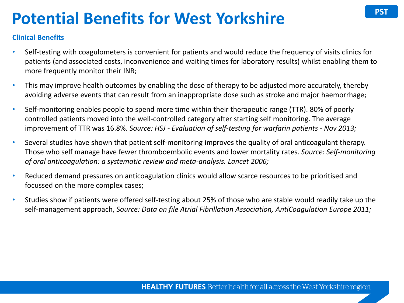### **Potential Benefits for West Yorkshire**

### **Clinical Benefits**

- Self-testing with coagulometers is convenient for patients and would reduce the frequency of visits clinics for patients (and associated costs, inconvenience and waiting times for laboratory results) whilst enabling them to more frequently monitor their INR;
- This may improve health outcomes by enabling the dose of therapy to be adjusted more accurately, thereby avoiding adverse events that can result from an inappropriate dose such as stroke and major haemorrhage;
- Self-monitoring enables people to spend more time within their therapeutic range (TTR). 80% of poorly controlled patients moved into the well-controlled category after starting self monitoring. The average improvement of TTR was 16.8%. *Source: HSJ - Evaluation of self-testing for warfarin patients - Nov 2013;*
- Several studies have shown that patient self-monitoring improves the quality of oral anticoagulant therapy. Those who self manage have fewer thromboembolic events and lower mortality rates. *Source: Self-monitoring of oral anticoagulation: a systematic review and meta-analysis. Lancet 2006;*
- Reduced demand pressures on anticoagulation clinics would allow scarce resources to be prioritised and focussed on the more complex cases;
- Studies show if patients were offered self-testing about 25% of those who are stable would readily take up the self-management approach, *Source: Data on file Atrial Fibrillation Association, AntiCoagulation Europe 2011;*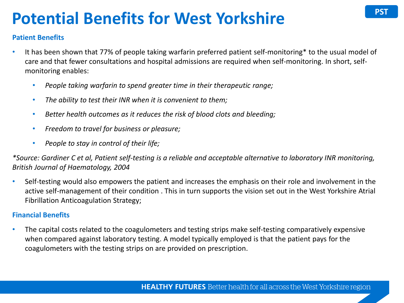### **Potential Benefits for West Yorkshire**

### **Patient Benefits**

- It has been shown that 77% of people taking warfarin preferred patient self-monitoring\* to the usual model of care and that fewer consultations and hospital admissions are required when self-monitoring. In short, selfmonitoring enables:
	- *People taking warfarin to spend greater time in their therapeutic range;*
	- *The ability to test their INR when it is convenient to them;*
	- *Better health outcomes as it reduces the risk of blood clots and bleeding;*
	- *Freedom to travel for business or pleasure;*
	- *People to stay in control of their life;*

*\*Source: Gardiner C et al, Patient self-testing is a reliable and acceptable alternative to laboratory INR monitoring, British Journal of Haematology, 2004*

• Self-testing would also empowers the patient and increases the emphasis on their role and involvement in the active self-management of their condition . This in turn supports the vision set out in the West Yorkshire Atrial Fibrillation Anticoagulation Strategy;

### **Financial Benefits**

• The capital costs related to the coagulometers and testing strips make self-testing comparatively expensive when compared against laboratory testing. A model typically employed is that the patient pays for the coagulometers with the testing strips on are provided on prescription.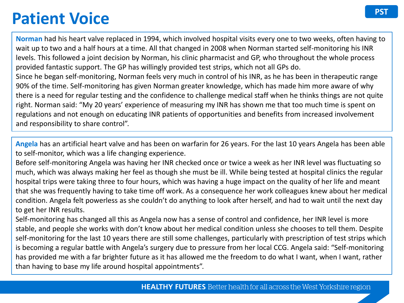### **Patient Voice**

**Norman** had his heart valve replaced in 1994, which involved hospital visits every one to two weeks, often having to wait up to two and a half hours at a time. All that changed in 2008 when Norman started self-monitoring his INR levels. This followed a joint decision by Norman, his clinic pharmacist and GP, who throughout the whole process provided fantastic support. The GP has willingly provided test strips, which not all GPs do. Since he began self-monitoring, Norman feels very much in control of his INR, as he has been in therapeutic range 90% of the time. Self-monitoring has given Norman greater knowledge, which has made him more aware of why there is a need for regular testing and the confidence to challenge medical staff when he thinks things are not quite right. Norman said: "My 20 years' experience of measuring my INR has shown me that too much time is spent on regulations and not enough on educating INR patients of opportunities and benefits from increased involvement and responsibility to share control".

**Angela** has an artificial heart valve and has been on warfarin for 26 years. For the last 10 years Angela has been able to self-monitor, which was a life changing experience.

Before self-monitoring Angela was having her INR checked once or twice a week as her INR level was fluctuating so much, which was always making her feel as though she must be ill. While being tested at hospital clinics the regular hospital trips were taking three to four hours, which was having a huge impact on the quality of her life and meant that she was frequently having to take time off work. As a consequence her work colleagues knew about her medical condition. Angela felt powerless as she couldn't do anything to look after herself, and had to wait until the next day to get her INR results.

Self-monitoring has changed all this as Angela now has a sense of control and confidence, her INR level is more stable, and people she works with don't know about her medical condition unless she chooses to tell them. Despite self-monitoring for the last 10 years there are still some challenges, particularly with prescription of test strips which is becoming a regular battle with Angela's surgery due to pressure from her local CCG. Angela said: "Self-monitoring has provided me with a far brighter future as it has allowed me the freedom to do what I want, when I want, rather than having to base my life around hospital appointments".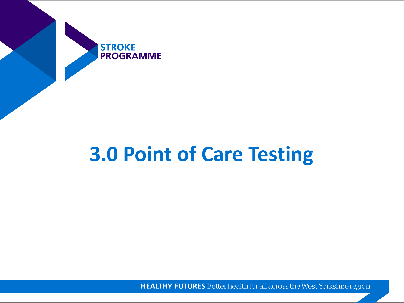

# **3.0 Point of Care Testing**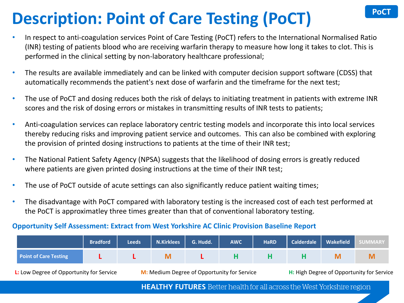### PoC<sup>T</sup>

### **Description: Point of Care Testing (PoCT)**

- In respect to anti-coagulation services Point of Care Testing (PoCT) refers to the International Normalised Ratio (INR) testing of patients blood who are receiving warfarin therapy to measure how long it takes to clot. This is performed in the clinical setting by non-laboratory healthcare professional;
- The results are available immediately and can be linked with computer decision support software (CDSS) that automatically recommends the patient's next dose of warfarin and the timeframe for the next test;
- The use of PoCT and dosing reduces both the risk of delays to initiating treatment in patients with extreme INR scores and the risk of dosing errors or mistakes in transmitting results of INR tests to patients;
- Anti-coagulation services can replace laboratory centric testing models and incorporate this into local services thereby reducing risks and improving patient service and outcomes. This can also be combined with exploring the provision of printed dosing instructions to patients at the time of their INR test;
- The National Patient Safety Agency (NPSA) suggests that the likelihood of dosing errors is greatly reduced where patients are given printed dosing instructions at the time of their INR test;
- The use of PoCT outside of acute settings can also significantly reduce patient waiting times;
- The disadvantage with PoCT compared with laboratory testing is the increased cost of each test performed at the PoCT is approximatley three times greater than that of conventional laboratory testing.

### **Opportunity Self Assessment: Extract from West Yorkshire AC Clinic Provision Baseline Report**

|                                                                                                | <b>Bradford</b> | <b>Leeds</b> | N.Kirklees | G. Hudd. | <b>AWC</b> | <b>HaRD</b> | <b>Calderdale</b>                         | Wakefield | <b>UMMARY</b> |
|------------------------------------------------------------------------------------------------|-----------------|--------------|------------|----------|------------|-------------|-------------------------------------------|-----------|---------------|
| <b>Point of Care Testing</b>                                                                   |                 |              |            |          |            |             |                                           |           | ΙVΙ           |
| M: Medium Degree of Opportunity for Service<br><b>L:</b> Low Degree of Opportunity for Service |                 |              |            |          |            |             | H: High Degree of Opportunity for Service |           |               |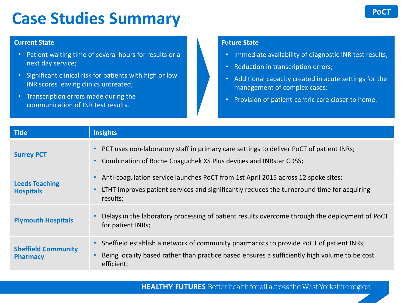### **Case Studies Summary**

- Patient waiting time of several hours for results or a next day service;
- Significant clinical risk for patients with high or low INR scores leaving clinics untreated;
- Transcription errors made during the communication of INR test results.

#### **Future State**

- Immediate availability of diagnostic INR test results;
- Reduction in transcription errors;
- Additional capacity created in acute settings for the management of complex cases;
- Provision of patient-centric care closer to home.

| <b>Title</b>                                  | <b>Insights</b>                                                                                                                                                                                        |
|-----------------------------------------------|--------------------------------------------------------------------------------------------------------------------------------------------------------------------------------------------------------|
| <b>Surrey PCT</b>                             | PCT uses non-laboratory staff in primary care settings to deliver PoCT of patient INRs;<br>Combination of Roche Coaguchek XS Plus devices and INRstar CDSS;                                            |
| <b>Leeds Teaching</b><br><b>Hospitals</b>     | Anti-coagulation service launches PoCT from 1st April 2015 across 12 spoke sites;<br>LTHT improves patient services and significantly reduces the turnaround time for acquiring<br>results;            |
| <b>Plymouth Hospitals</b>                     | Delays in the laboratory processing of patient results overcome through the deployment of PoCT<br>for patient INRs;                                                                                    |
| <b>Sheffield Community</b><br><b>Pharmacy</b> | Sheffield establish a network of community pharmacists to provide PoCT of patient INRs;<br>Being locality based rather than practice based ensures a sufficiently high volume to be cost<br>efficient; |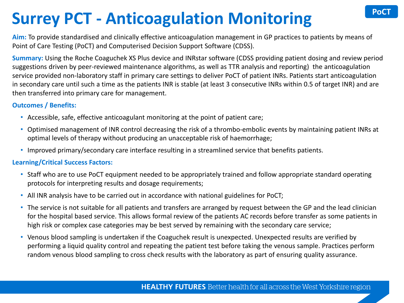## **Surrey PCT - Anticoagulation Monitoring**

**Aim:** To provide standardised and clinically effective anticoagulation management in GP practices to patients by means of Point of Care Testing (PoCT) and Computerised Decision Support Software (CDSS).

**Summary:** Using the Roche Coaguchek XS Plus device and INRstar software (CDSS providing patient dosing and review period suggestions driven by peer-reviewed maintenance algorithms, as well as TTR analysis and reporting) the anticoagulation service provided non-laboratory staff in primary care settings to deliver PoCT of patient INRs. Patients start anticoagulation in secondary care until such a time as the patients INR is stable (at least 3 consecutive INRs within 0.5 of target INR) and are then transferred into primary care for management.

### **Outcomes / Benefits:**

- Accessible, safe, effective anticoagulant monitoring at the point of patient care;
- Optimised management of INR control decreasing the risk of a thrombo-embolic events by maintaining patient INRs at optimal levels of therapy without producing an unacceptable risk of haemorrhage;
- Improved primary/secondary care interface resulting in a streamlined service that benefits patients.

### **Learning/Critical Success Factors:**

- Staff who are to use PoCT equipment needed to be appropriately trained and follow appropriate standard operating protocols for interpreting results and dosage requirements;
- All INR analysis have to be carried out in accordance with national guidelines for PoCT;
- The service is not suitable for all patients and transfers are arranged by request between the GP and the lead clinician for the hospital based service. This allows formal review of the patients AC records before transfer as some patients in high risk or complex case categories may be best served by remaining with the secondary care service;
- Venous blood sampling is undertaken if the Coaguchek result is unexpected. Unexpected results are verified by performing a liquid quality control and repeating the patient test before taking the venous sample. Practices perform random venous blood sampling to cross check results with the laboratory as part of ensuring quality assurance.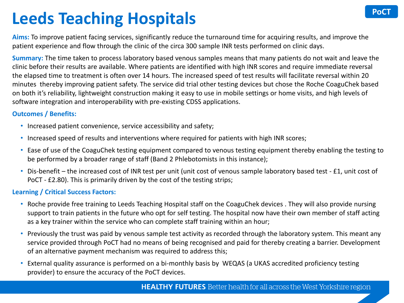### **Leeds Teaching Hospitals**

**Aims:** To improve patient facing services, significantly reduce the turnaround time for acquiring results, and improve the patient experience and flow through the clinic of the circa 300 sample INR tests performed on clinic days.

**Summary:** The time taken to process laboratory based venous samples means that many patients do not wait and leave the clinic before their results are available. Where patients are identified with high INR scores and require immediate reversal the elapsed time to treatment is often over 14 hours. The increased speed of test results will facilitate reversal within 20 minutes thereby improving patient safety. The service did trial other testing devices but chose the Roche CoaguChek based on both it's reliability, lightweight construction making it easy to use in mobile settings or home visits, and high levels of software integration and interoperability with pre-existing CDSS applications.

### **Outcomes / Benefits:**

- Increased patient convenience, service accessibility and safety;
- Increased speed of results and interventions where required for patients with high INR scores;
- Ease of use of the CoaguChek testing equipment compared to venous testing equipment thereby enabling the testing to be performed by a broader range of staff (Band 2 Phlebotomists in this instance);
- Dis-benefit the increased cost of INR test per unit (unit cost of venous sample laboratory based test £1, unit cost of PoCT - £2.80). This is primarily driven by the cost of the testing strips;

#### **Learning / Critical Success Factors:**

- Roche provide free training to Leeds Teaching Hospital staff on the CoaguChek devices . They will also provide nursing support to train patients in the future who opt for self testing. The hospital now have their own member of staff acting as a key trainer within the service who can complete staff training within an hour;
- Previously the trust was paid by venous sample test activity as recorded through the laboratory system. This meant any service provided through PoCT had no means of being recognised and paid for thereby creating a barrier. Development of an alternative payment mechanism was required to address this;
- External quality assurance is performed on a bi-monthly basis by WEQAS (a UKAS accredited proficiency testing provider) to ensure the accuracy of the PoCT devices.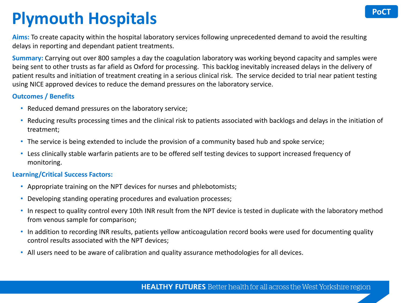### **Plymouth Hospitals**

**Aims:** To create capacity within the hospital laboratory services following unprecedented demand to avoid the resulting delays in reporting and dependant patient treatments.

**Summary:** Carrying out over 800 samples a day the coagulation laboratory was working beyond capacity and samples were being sent to other trusts as far afield as Oxford for processing. This backlog inevitably increased delays in the delivery of patient results and initiation of treatment creating in a serious clinical risk. The service decided to trial near patient testing using NICE approved devices to reduce the demand pressures on the laboratory service.

#### **Outcomes / Benefits**

- Reduced demand pressures on the laboratory service;
- Reducing results processing times and the clinical risk to patients associated with backlogs and delays in the initiation of treatment;
- The service is being extended to include the provision of a community based hub and spoke service;
- Less clinically stable warfarin patients are to be offered self testing devices to support increased frequency of monitoring.

### **Learning/Critical Success Factors:**

- Appropriate training on the NPT devices for nurses and phlebotomists;
- Developing standing operating procedures and evaluation processes;
- In respect to quality control every 10th INR result from the NPT device is tested in duplicate with the laboratory method from venous sample for comparison;
- In addition to recording INR results, patients yellow anticoagulation record books were used for documenting quality control results associated with the NPT devices;
- All users need to be aware of calibration and quality assurance methodologies for all devices.

**PoCT**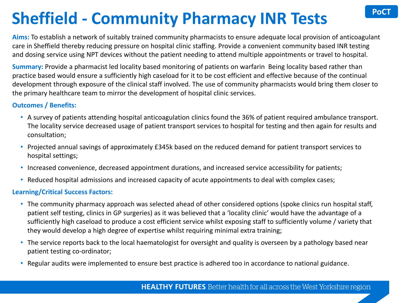## **Sheffield - Community Pharmacy INR Tests**

**Aims:** To establish a network of suitably trained community pharmacists to ensure adequate local provision of anticoagulant care in Sheffield thereby reducing pressure on hospital clinic staffing. Provide a convenient community based INR testing and dosing service using NPT devices without the patient needing to attend multiple appointments or travel to hospital.

**Summary:** Provide a pharmacist led locality based monitoring of patients on warfarin Being locality based rather than practice based would ensure a sufficiently high caseload for it to be cost efficient and effective because of the continual development through exposure of the clinical staff involved. The use of community pharmacists would bring them closer to the primary healthcare team to mirror the development of hospital clinic services.

### **Outcomes / Benefits:**

- A survey of patients attending hospital anticoagulation clinics found the 36% of patient required ambulance transport. The locality service decreased usage of patient transport services to hospital for testing and then again for results and consultation;
- Projected annual savings of approximately £345k based on the reduced demand for patient transport services to hospital settings;
- Increased convenience, decreased appointment durations, and increased service accessibility for patients;
- Reduced hospital admissions and increased capacity of acute appointments to deal with complex cases;

### **Learning/Critical Success Factors:**

- The community pharmacy approach was selected ahead of other considered options (spoke clinics run hospital staff, patient self testing, clinics in GP surgeries) as it was believed that a 'locality clinic' would have the advantage of a sufficiently high caseload to produce a cost efficient service whilst exposing staff to sufficiently volume / variety that they would develop a high degree of expertise whilst requiring minimal extra training;
- The service reports back to the local haematologist for oversight and quality is overseen by a pathology based near patient testing co-ordinator;
- Regular audits were implemented to ensure best practice is adhered too in accordance to national guidance.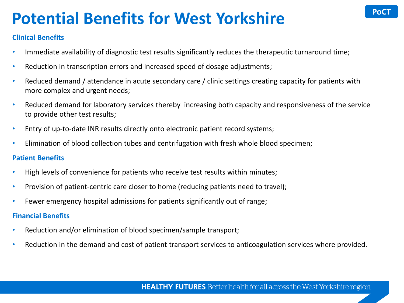### **Potential Benefits for West Yorkshire**

### **Clinical Benefits**

- Immediate availability of diagnostic test results significantly reduces the therapeutic turnaround time;
- Reduction in transcription errors and increased speed of dosage adjustments;
- Reduced demand / attendance in acute secondary care / clinic settings creating capacity for patients with more complex and urgent needs;
- Reduced demand for laboratory services thereby increasing both capacity and responsiveness of the service to provide other test results;
- Entry of up-to-date INR results directly onto electronic patient record systems;
- Elimination of blood collection tubes and centrifugation with fresh whole blood specimen;

### **Patient Benefits**

- High levels of convenience for patients who receive test results within minutes;
- Provision of patient-centric care closer to home (reducing patients need to travel);
- Fewer emergency hospital admissions for patients significantly out of range;

### **Financial Benefits**

- Reduction and/or elimination of blood specimen/sample transport;
- Reduction in the demand and cost of patient transport services to anticoagulation services where provided.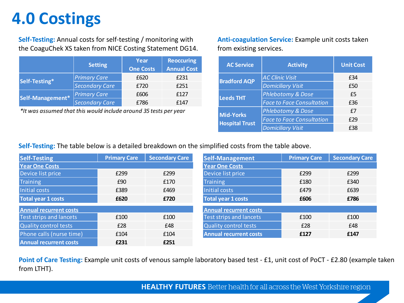### **4.0 Costings**

**Self-Testing:** Annual costs for self-testing / monitoring with the CoaguChek XS taken from NICE Costing Statement DG14.

|                  |                       | Year             | <b>Reoccuring</b>  |
|------------------|-----------------------|------------------|--------------------|
|                  | <b>Setting</b>        | <b>One Costs</b> | <b>Annual Cost</b> |
| Self-Testing*    | <b>Primary Care</b>   | £620             | £231               |
|                  | <b>Secondary Care</b> | £720             | £251               |
| Self-Management* | <b>Primary Care</b>   | £606             | f127               |
|                  | <b>Secondary Care</b> | £786             | f147               |

*\*It was assumed that this would include around 35 tests per year* 

**Anti-coagulation Service:** Example unit costs taken from existing services.

| <b>Setting</b>                              | <b>Year</b><br><b>One Costs</b> | <b>Reoccuring</b><br><b>Annual Cost</b> |                  | <b>AC Service</b>     | <b>Activity</b>                  | <b>Unit Cost</b> |
|---------------------------------------------|---------------------------------|-----------------------------------------|------------------|-----------------------|----------------------------------|------------------|
| <b>Primary Care</b>                         | £620                            | £231                                    |                  | <b>Bradford AQP</b>   | <b>AC Clinic Visit</b>           | £34              |
| <b>Secondary Care</b>                       | £720                            | £251                                    |                  |                       | <b>Domiciliary Visit</b>         | £50              |
| <b>Primary Care</b>                         | £606                            | £127                                    | <b>Leeds THT</b> |                       | Phlebotomy & Dose                | £5               |
| <b>Secondary Care</b>                       | £786                            | £147                                    |                  |                       | <b>Face to Face Consultation</b> | £36              |
| this would include around 35 tests per year |                                 |                                         |                  | <b>Mid-Yorks</b>      | Phlebotomy & Dose                | £7               |
|                                             |                                 |                                         |                  | <b>Hospital Trust</b> | <b>Face to Face Consultation</b> | £29              |
|                                             |                                 |                                         |                  |                       | <b>Domiciliary Visit</b>         | £38              |

**Self-Testing:** The table below is a detailed breakdown on the simplified costs from the table above.

| <b>Self-Testing</b>           | <b>Primary Care</b> | <b>Secondary Care</b> | <b>Self-Management</b>         | <b>Primary Care</b> | <b>Secondary Care</b> |
|-------------------------------|---------------------|-----------------------|--------------------------------|---------------------|-----------------------|
| <b>Year One Costs</b>         |                     |                       | <b>Year One Costs</b>          |                     |                       |
| Device list price             | £299                | £299                  | Device list price              | £299                | £299                  |
| <b>Training</b>               | £90                 | £170                  | <b>Training</b>                | £180                | £340                  |
| Initial costs                 | £389                | £469                  | Initial costs                  | £479                | £639                  |
| <b>Total year 1 costs</b>     | £620                | £720                  | <b>Total year 1 costs</b>      | £606                | £786                  |
| <b>Annual recurrent costs</b> |                     |                       | <b>Annual recurrent costs</b>  |                     |                       |
| Test strips and lancets       | £100                | £100                  | <b>Test strips and lancets</b> | £100                | £100                  |
| <b>Quality control tests</b>  | £28                 | £48                   | Quality control tests          | £28                 | £48                   |
| Phone calls (nurse time)      | £104                | £104                  | <b>Annual recurrent costs</b>  | £127                | £147                  |
| <b>Annual recurrent costs</b> | £231                | £251                  |                                |                     |                       |

Point of Care Testing: Example unit costs of venous sample laboratory based test - £1, unit cost of PoCT - £2.80 (example taken from LTHT).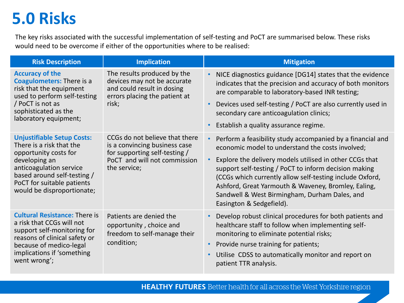### **5.0 Risks**

The key risks associated with the successful implementation of self-testing and PoCT are summarised below. These risks would need to be overcome if either of the opportunities where to be realised:

| <b>Risk Description</b>                                                                                                                                                                                                       | <b>Implication</b>                                                                                                                               | <b>Mitigation</b>                                                                                                                                                                                                                                                                                                                                                                                                                  |
|-------------------------------------------------------------------------------------------------------------------------------------------------------------------------------------------------------------------------------|--------------------------------------------------------------------------------------------------------------------------------------------------|------------------------------------------------------------------------------------------------------------------------------------------------------------------------------------------------------------------------------------------------------------------------------------------------------------------------------------------------------------------------------------------------------------------------------------|
| <b>Accuracy of the</b><br><b>Coagulometers: There is a</b><br>risk that the equipment<br>used to perform self-testing<br>/ PoCT is not as<br>sophisticated as the<br>laboratory equipment;                                    | The results produced by the<br>devices may not be accurate<br>and could result in dosing<br>errors placing the patient at<br>risk;               | NICE diagnostics guidance [DG14] states that the evidence<br>indicates that the precision and accuracy of both monitors<br>are comparable to laboratory-based INR testing;<br>Devices used self-testing / PoCT are also currently used in<br>secondary care anticoagulation clinics;<br>Establish a quality assurance regime.                                                                                                      |
| <b>Unjustifiable Setup Costs:</b><br>There is a risk that the<br>opportunity costs for<br>developing an<br>anticoagulation service<br>based around self-testing /<br>PoCT for suitable patients<br>would be disproportionate; | CCGs do not believe that there<br>is a convincing business case<br>for supporting self-testing /<br>PoCT and will not commission<br>the service; | Perform a feasibility study accompanied by a financial and<br>economic model to understand the costs involved;<br>Explore the delivery models utilised in other CCGs that<br>support self-testing / PoCT to inform decision making<br>(CCGs which currently allow self-testing include Oxford,<br>Ashford, Great Yarmouth & Waveney, Bromley, Ealing,<br>Sandwell & West Birmingham, Durham Dales, and<br>Easington & Sedgefield). |
| <b>Cultural Resistance: There is</b><br>a risk that CCGs will not<br>support self-monitoring for<br>reasons of clinical safety or<br>because of medico-legal<br>implications if 'something<br>went wrong';                    | Patients are denied the<br>opportunity, choice and<br>freedom to self-manage their<br>condition;                                                 | Develop robust clinical procedures for both patients and<br>healthcare staff to follow when implementing self-<br>monitoring to eliminate potential risks;<br>Provide nurse training for patients;<br>Utilise CDSS to automatically monitor and report on<br>patient TTR analysis.                                                                                                                                                 |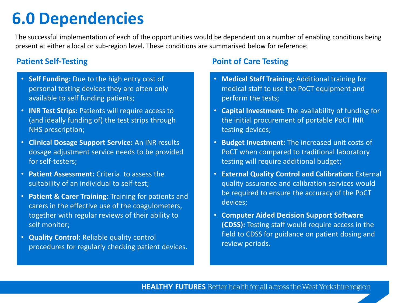### **6.0 Dependencies**

The successful implementation of each of the opportunities would be dependent on a number of enabling conditions being present at either a local or sub-region level. These conditions are summarised below for reference:

- **Self Funding:** Due to the high entry cost of personal testing devices they are often only available to self funding patients;
- **INR Test Strips:** Patients will require access to (and ideally funding of) the test strips through NHS prescription;
- **Clinical Dosage Support Service:** An INR results dosage adjustment service needs to be provided for self-testers;
- **Patient Assessment:** Criteria to assess the suitability of an individual to self-test;
- **Patient & Carer Training:** Training for patients and carers in the effective use of the coagulometers, together with regular reviews of their ability to self monitor;
- **Quality Control:** Reliable quality control procedures for regularly checking patient devices.

### **Patient Self-Testing Point of Care Testing**

- **Medical Staff Training:** Additional training for medical staff to use the PoCT equipment and perform the tests;
- **Capital Investment:** The availability of funding for the initial procurement of portable PoCT INR testing devices;
- **Budget Investment:** The increased unit costs of PoCT when compared to traditional laboratory testing will require additional budget;
- **External Quality Control and Calibration:** External quality assurance and calibration services would be required to ensure the accuracy of the PoCT devices;
- **Computer Aided Decision Support Software (CDSS):** Testing staff would require access in the field to CDSS for guidance on patient dosing and review periods.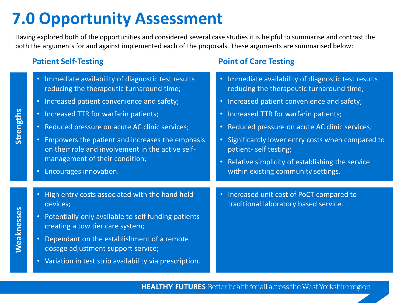### **7.0 Opportunity Assessment**

Having explored both of the opportunities and considered several case studies it is helpful to summarise and contrast the both the arguments for and against implemented each of the proposals. These arguments are summarised below:

- Immediate availability of diagnostic test results reducing the therapeutic turnaround time;
- Increased patient convenience and safety;
- Increased TTR for warfarin patients;
- Reduced pressure on acute AC clinic services;
- Empowers the patient and increases the emphasis on their role and involvement in the active selfmanagement of their condition;
- Encourages innovation.

devices;

### **Patient Self-Testing Point of Care Testing**

- Immediate availability of diagnostic test results reducing the therapeutic turnaround time; • Increased patient convenience and safety; • Increased TTR for warfarin patients; • Reduced pressure on acute AC clinic services; • Significantly lower entry costs when compared to patient- self testing; • Relative simplicity of establishing the service within existing community settings. • Increased unit cost of PoCT compared to traditional laboratory based service. • High entry costs associated with the hand held • Potentially only available to self funding patients creating a tow tier care system; • Dependant on the establishment of a remote dosage adjustment support service;
- Variation in test strip availability via prescription.

**HEALTHY FUTURES** Better health for all across the West Yorkshire region

**Weaknesses**